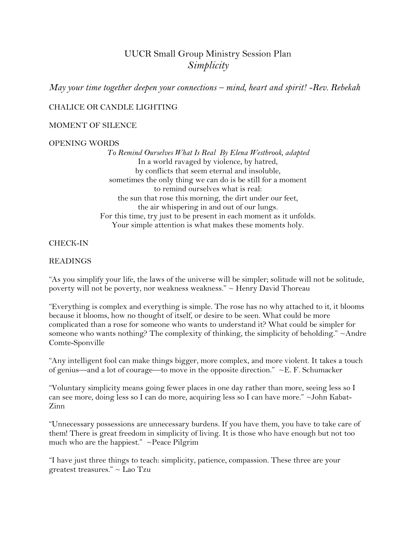# UUCR Small Group Ministry Session Plan *Simplicity*

*May your time together deepen your connections – mind, heart and spirit! -Rev. Rebekah*

## CHALICE OR CANDLE LIGHTING

#### MOMENT OF SILENCE

#### OPENING WORDS

*To Remind Ourselves What Is Real By [Elena Westbrook,](http://www.uua.org/directory/people/elena-westbrook) adapted* In a world ravaged by violence, by hatred, by conflicts that seem eternal and insoluble, sometimes the only thing we can do is be still for a moment to remind ourselves what is real: the sun that rose this morning, the dirt under our feet, the air whispering in and out of our lungs. For this time, try just to be present in each moment as it unfolds. Your simple attention is what makes these moments holy.

#### CHECK-IN

#### READINGS

"As you simplify your life, the laws of the universe will be simpler; solitude will not be solitude, poverty will not be poverty, nor weakness weakness." ~ Henry David Thoreau

"Everything is complex and everything is simple. The rose has no why attached to it, it blooms because it blooms, how no thought of itself, or desire to be seen. What could be more complicated than a rose for someone who wants to understand it? What could be simpler for someone who wants nothing? The complexity of thinking, the simplicity of beholding."  $\sim$ Andre Comte-Sponville

"Any intelligent fool can make things bigger, more complex, and more violent. It takes a touch of genius—and a lot of courage—to move in the opposite direction."  $\sim$  E. F. Schumacker

"Voluntary simplicity means going fewer places in one day rather than more, seeing less so I can see more, doing less so I can do more, acquiring less so I can have more." ~John Kabat-Zinn

"Unnecessary possessions are unnecessary burdens. If you have them, you have to take care of them! There is great freedom in simplicity of living. It is those who have enough but not too much who are the happiest." ~Peace Pilgrim

"I have just three things to teach: simplicity, patience, compassion. These three are your greatest treasures." ~ Lao Tzu